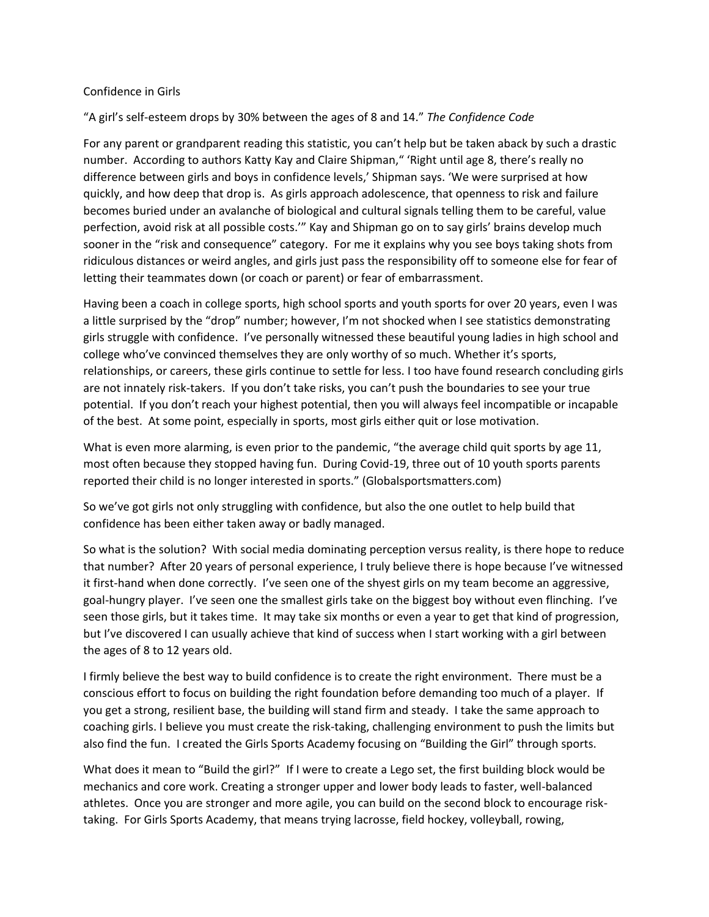## Confidence in Girls

## "A girl's self-esteem drops by 30% between the ages of 8 and 14." *The Confidence Code*

For any parent or grandparent reading this statistic, you can't help but be taken aback by such a drastic number. According to authors Katty Kay and Claire Shipman," 'Right until age 8, there's really no difference between girls and boys in confidence levels,' Shipman says. 'We were surprised at how quickly, and how deep that drop is. As girls approach adolescence, that openness to risk and failure becomes buried under an avalanche of biological and cultural signals telling them to be careful, value perfection, avoid risk at all possible costs.'" Kay and Shipman go on to say girls' brains develop much sooner in the "risk and consequence" category. For me it explains why you see boys taking shots from ridiculous distances or weird angles, and girls just pass the responsibility off to someone else for fear of letting their teammates down (or coach or parent) or fear of embarrassment.

Having been a coach in college sports, high school sports and youth sports for over 20 years, even I was a little surprised by the "drop" number; however, I'm not shocked when I see statistics demonstrating girls struggle with confidence. I've personally witnessed these beautiful young ladies in high school and college who've convinced themselves they are only worthy of so much. Whether it's sports, relationships, or careers, these girls continue to settle for less. I too have found research concluding girls are not innately risk-takers. If you don't take risks, you can't push the boundaries to see your true potential. If you don't reach your highest potential, then you will always feel incompatible or incapable of the best. At some point, especially in sports, most girls either quit or lose motivation.

What is even more alarming, is even prior to the pandemic, "the average child quit sports by age 11, most often because they stopped having fun. During Covid-19, three out of 10 youth sports parents reported their child is no longer interested in sports." (Globalsportsmatters.com)

So we've got girls not only struggling with confidence, but also the one outlet to help build that confidence has been either taken away or badly managed.

So what is the solution? With social media dominating perception versus reality, is there hope to reduce that number? After 20 years of personal experience, I truly believe there is hope because I've witnessed it first-hand when done correctly. I've seen one of the shyest girls on my team become an aggressive, goal-hungry player. I've seen one the smallest girls take on the biggest boy without even flinching. I've seen those girls, but it takes time. It may take six months or even a year to get that kind of progression, but I've discovered I can usually achieve that kind of success when I start working with a girl between the ages of 8 to 12 years old.

I firmly believe the best way to build confidence is to create the right environment. There must be a conscious effort to focus on building the right foundation before demanding too much of a player. If you get a strong, resilient base, the building will stand firm and steady. I take the same approach to coaching girls. I believe you must create the risk-taking, challenging environment to push the limits but also find the fun. I created the Girls Sports Academy focusing on "Building the Girl" through sports.

What does it mean to "Build the girl?" If I were to create a Lego set, the first building block would be mechanics and core work. Creating a stronger upper and lower body leads to faster, well-balanced athletes. Once you are stronger and more agile, you can build on the second block to encourage risktaking. For Girls Sports Academy, that means trying lacrosse, field hockey, volleyball, rowing,